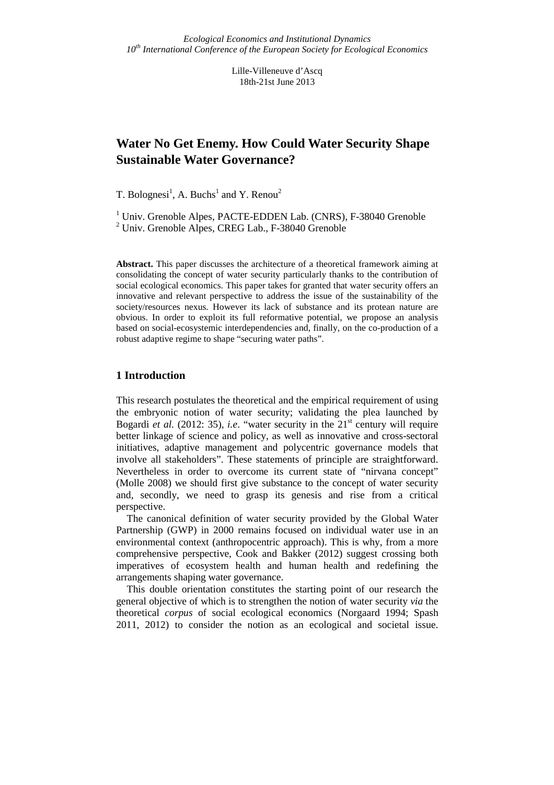Lille-Villeneuve d'Ascq 18th-21st June 2013

# **Water No Get Enemy. How Could Water Security Shape Sustainable Water Governance?**

T. Bolognesi<sup>1</sup>, A. Buchs<sup>1</sup> and Y. Renou<sup>2</sup>

<sup>1</sup> Univ. Grenoble Alpes, PACTE-EDDEN Lab. (CNRS), F-38040 Grenoble 2 Univ. Grenoble Alpes, CREG Lab., F-38040 Grenoble

**Abstract.** This paper discusses the architecture of a theoretical framework aiming at consolidating the concept of water security particularly thanks to the contribution of social ecological economics. This paper takes for granted that water security offers an innovative and relevant perspective to address the issue of the sustainability of the society/resources nexus. However its lack of substance and its protean nature are obvious. In order to exploit its full reformative potential, we propose an analysis based on social-ecosystemic interdependencies and, finally, on the co-production of a robust adaptive regime to shape "securing water paths".

## **1 Introduction**

This research postulates the theoretical and the empirical requirement of using the embryonic notion of water security; validating the plea launched by Bogardi et al. (2012: 35), *i.e.* "water security in the 21<sup>st</sup> century will require better linkage of science and policy, as well as innovative and cross-sectoral initiatives, adaptive management and polycentric governance models that involve all stakeholders". These statements of principle are straightforward. Nevertheless in order to overcome its current state of "nirvana concept" (Molle 2008) we should first give substance to the concept of water security and, secondly, we need to grasp its genesis and rise from a critical perspective.

The canonical definition of water security provided by the Global Water Partnership (GWP) in 2000 remains focused on individual water use in an environmental context (anthropocentric approach). This is why, from a more comprehensive perspective, Cook and Bakker (2012) suggest crossing both imperatives of ecosystem health and human health and redefining the arrangements shaping water governance.

This double orientation constitutes the starting point of our research the general objective of which is to strengthen the notion of water security *via* the theoretical *corpus* of social ecological economics (Norgaard 1994; Spash 2011, 2012) to consider the notion as an ecological and societal issue.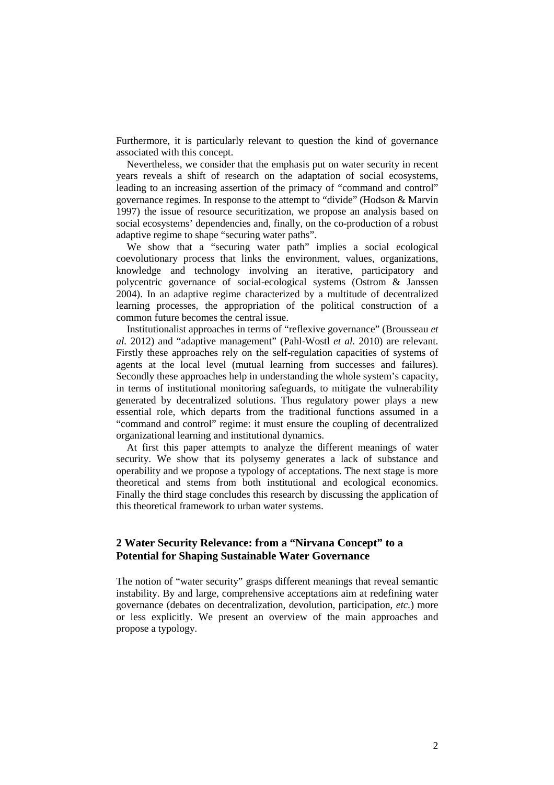Furthermore, it is particularly relevant to question the kind of governance associated with this concept.

Nevertheless, we consider that the emphasis put on water security in recent years reveals a shift of research on the adaptation of social ecosystems, leading to an increasing assertion of the primacy of "command and control" governance regimes. In response to the attempt to "divide" (Hodson & Marvin 1997) the issue of resource securitization, we propose an analysis based on social ecosystems' dependencies and, finally, on the co-production of a robust adaptive regime to shape "securing water paths".

We show that a "securing water path" implies a social ecological coevolutionary process that links the environment, values, organizations, knowledge and technology involving an iterative, participatory and polycentric governance of social-ecological systems (Ostrom & Janssen 2004). In an adaptive regime characterized by a multitude of decentralized learning processes, the appropriation of the political construction of a common future becomes the central issue.

Institutionalist approaches in terms of "reflexive governance" (Brousseau *et al.* 2012) and "adaptive management" (Pahl-Wostl *et al.* 2010) are relevant. Firstly these approaches rely on the self-regulation capacities of systems of agents at the local level (mutual learning from successes and failures). Secondly these approaches help in understanding the whole system's capacity, in terms of institutional monitoring safeguards, to mitigate the vulnerability generated by decentralized solutions. Thus regulatory power plays a new essential role, which departs from the traditional functions assumed in a "command and control" regime: it must ensure the coupling of decentralized organizational learning and institutional dynamics.

At first this paper attempts to analyze the different meanings of water security. We show that its polysemy generates a lack of substance and operability and we propose a typology of acceptations. The next stage is more theoretical and stems from both institutional and ecological economics. Finally the third stage concludes this research by discussing the application of this theoretical framework to urban water systems.

## **2 Water Security Relevance: from a "Nirvana Concept" to a Potential for Shaping Sustainable Water Governance**

The notion of "water security" grasps different meanings that reveal semantic instability. By and large, comprehensive acceptations aim at redefining water governance (debates on decentralization, devolution, participation, *etc.*) more or less explicitly. We present an overview of the main approaches and propose a typology.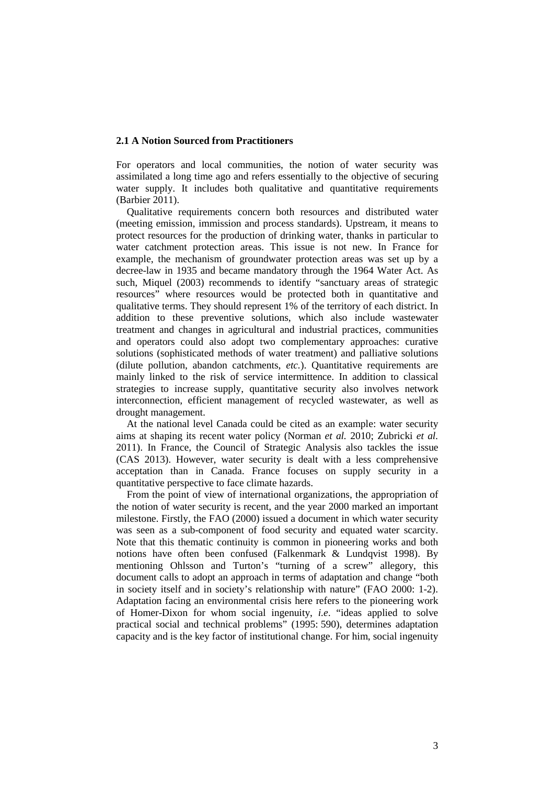#### **2.1 A Notion Sourced from Practitioners**

For operators and local communities, the notion of water security was assimilated a long time ago and refers essentially to the objective of securing water supply. It includes both qualitative and quantitative requirements (Barbier 2011).

Qualitative requirements concern both resources and distributed water (meeting emission, immission and process standards). Upstream, it means to protect resources for the production of drinking water, thanks in particular to water catchment protection areas. This issue is not new. In France for example, the mechanism of groundwater protection areas was set up by a decree-law in 1935 and became mandatory through the 1964 Water Act. As such, Miquel (2003) recommends to identify "sanctuary areas of strategic resources" where resources would be protected both in quantitative and qualitative terms. They should represent 1% of the territory of each district. In addition to these preventive solutions, which also include wastewater treatment and changes in agricultural and industrial practices, communities and operators could also adopt two complementary approaches: curative solutions (sophisticated methods of water treatment) and palliative solutions (dilute pollution, abandon catchments, *etc.*). Quantitative requirements are mainly linked to the risk of service intermittence. In addition to classical strategies to increase supply, quantitative security also involves network interconnection, efficient management of recycled wastewater, as well as drought management.

At the national level Canada could be cited as an example: water security aims at shaping its recent water policy (Norman *et al.* 2010; Zubricki *et al.* 2011). In France, the Council of Strategic Analysis also tackles the issue (CAS 2013). However, water security is dealt with a less comprehensive acceptation than in Canada. France focuses on supply security in a quantitative perspective to face climate hazards.

From the point of view of international organizations, the appropriation of the notion of water security is recent, and the year 2000 marked an important milestone. Firstly, the FAO (2000) issued a document in which water security was seen as a sub-component of food security and equated water scarcity. Note that this thematic continuity is common in pioneering works and both notions have often been confused (Falkenmark & Lundqvist 1998). By mentioning Ohlsson and Turton's "turning of a screw" allegory, this document calls to adopt an approach in terms of adaptation and change "both in society itself and in society's relationship with nature" (FAO 2000: 1-2). Adaptation facing an environmental crisis here refers to the pioneering work of Homer-Dixon for whom social ingenuity, *i.e*. "ideas applied to solve practical social and technical problems" (1995: 590), determines adaptation capacity and is the key factor of institutional change. For him, social ingenuity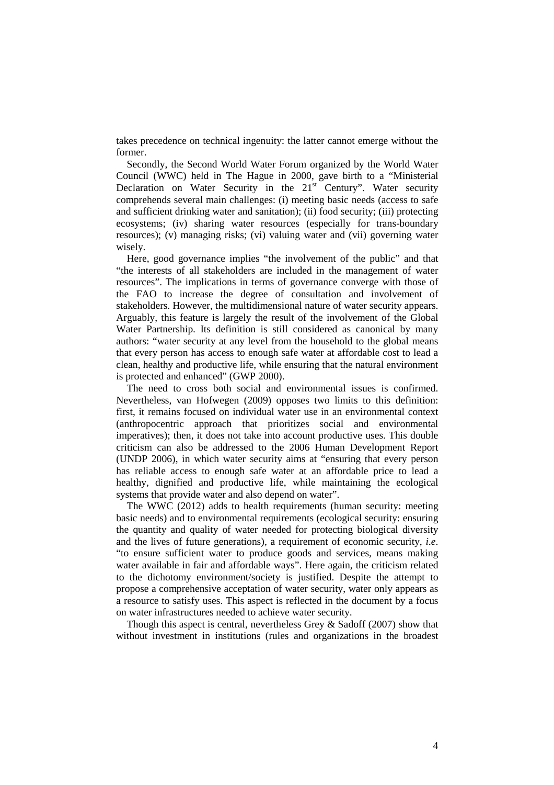takes precedence on technical ingenuity: the latter cannot emerge without the former.

Secondly, the Second World Water Forum organized by the World Water Council (WWC) held in The Hague in 2000, gave birth to a "Ministerial Declaration on Water Security in the 21<sup>st</sup> Century". Water security comprehends several main challenges: (i) meeting basic needs (access to safe and sufficient drinking water and sanitation); (ii) food security; (iii) protecting ecosystems; (iv) sharing water resources (especially for trans-boundary resources); (v) managing risks; (vi) valuing water and (vii) governing water wisely.

Here, good governance implies "the involvement of the public" and that "the interests of all stakeholders are included in the management of water resources". The implications in terms of governance converge with those of the FAO to increase the degree of consultation and involvement of stakeholders. However, the multidimensional nature of water security appears. Arguably, this feature is largely the result of the involvement of the Global Water Partnership. Its definition is still considered as canonical by many authors: "water security at any level from the household to the global means that every person has access to enough safe water at affordable cost to lead a clean, healthy and productive life, while ensuring that the natural environment is protected and enhanced" (GWP 2000).

The need to cross both social and environmental issues is confirmed. Nevertheless, van Hofwegen (2009) opposes two limits to this definition: first, it remains focused on individual water use in an environmental context (anthropocentric approach that prioritizes social and environmental imperatives); then, it does not take into account productive uses. This double criticism can also be addressed to the 2006 Human Development Report (UNDP 2006), in which water security aims at "ensuring that every person has reliable access to enough safe water at an affordable price to lead a healthy, dignified and productive life, while maintaining the ecological systems that provide water and also depend on water".

The WWC (2012) adds to health requirements (human security: meeting basic needs) and to environmental requirements (ecological security: ensuring the quantity and quality of water needed for protecting biological diversity and the lives of future generations), a requirement of economic security, *i.e*. "to ensure sufficient water to produce goods and services, means making water available in fair and affordable ways". Here again, the criticism related to the dichotomy environment/society is justified. Despite the attempt to propose a comprehensive acceptation of water security, water only appears as a resource to satisfy uses. This aspect is reflected in the document by a focus on water infrastructures needed to achieve water security.

Though this aspect is central, nevertheless Grey  $\&$  Sadoff (2007) show that without investment in institutions (rules and organizations in the broadest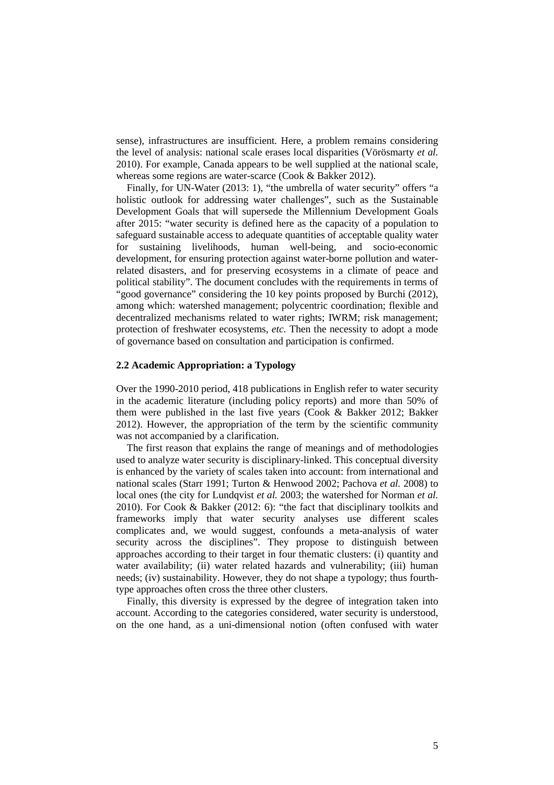sense), infrastructures are insufficient. Here, a problem remains considering the level of analysis: national scale erases local disparities (Vörösmarty *et al.* 2010). For example, Canada appears to be well supplied at the national scale, whereas some regions are water-scarce (Cook & Bakker 2012).

Finally, for UN-Water (2013: 1), "the umbrella of water security" offers "a holistic outlook for addressing water challenges", such as the Sustainable Development Goals that will supersede the Millennium Development Goals after 2015: "water security is defined here as the capacity of a population to safeguard sustainable access to adequate quantities of acceptable quality water for sustaining livelihoods, human well-being, and socio-economic development, for ensuring protection against water-borne pollution and waterrelated disasters, and for preserving ecosystems in a climate of peace and political stability". The document concludes with the requirements in terms of "good governance" considering the 10 key points proposed by Burchi (2012), among which: watershed management; polycentric coordination; flexible and decentralized mechanisms related to water rights; IWRM; risk management; protection of freshwater ecosystems, *etc.* Then the necessity to adopt a mode of governance based on consultation and participation is confirmed.

#### **2.2 Academic Appropriation: a Typology**

Over the 1990-2010 period, 418 publications in English refer to water security in the academic literature (including policy reports) and more than 50% of them were published in the last five years (Cook & Bakker 2012; Bakker 2012). However, the appropriation of the term by the scientific community was not accompanied by a clarification.

The first reason that explains the range of meanings and of methodologies used to analyze water security is disciplinary-linked. This conceptual diversity is enhanced by the variety of scales taken into account: from international and national scales (Starr 1991; Turton & Henwood 2002; Pachova *et al.* 2008) to local ones (the city for Lundqvist *et al.* 2003; the watershed for Norman *et al.* 2010). For Cook & Bakker (2012: 6): "the fact that disciplinary toolkits and frameworks imply that water security analyses use different scales complicates and, we would suggest, confounds a meta-analysis of water security across the disciplines". They propose to distinguish between approaches according to their target in four thematic clusters: (i) quantity and water availability; (ii) water related hazards and vulnerability; (iii) human needs; (iv) sustainability. However, they do not shape a typology; thus fourthtype approaches often cross the three other clusters.

Finally, this diversity is expressed by the degree of integration taken into account. According to the categories considered, water security is understood, on the one hand, as a uni-dimensional notion (often confused with water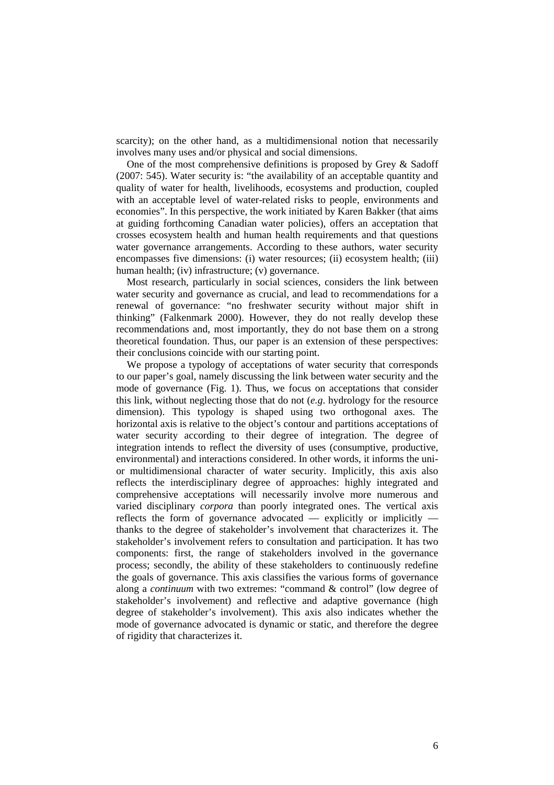scarcity); on the other hand, as a multidimensional notion that necessarily involves many uses and/or physical and social dimensions.

One of the most comprehensive definitions is proposed by Grey & Sadoff (2007: 545). Water security is: "the availability of an acceptable quantity and quality of water for health, livelihoods, ecosystems and production, coupled with an acceptable level of water-related risks to people, environments and economies". In this perspective, the work initiated by Karen Bakker (that aims at guiding forthcoming Canadian water policies), offers an acceptation that crosses ecosystem health and human health requirements and that questions water governance arrangements. According to these authors, water security encompasses five dimensions: (i) water resources; (ii) ecosystem health; (iii) human health; (iv) infrastructure; (v) governance.

Most research, particularly in social sciences, considers the link between water security and governance as crucial, and lead to recommendations for a renewal of governance: "no freshwater security without major shift in thinking" (Falkenmark 2000). However, they do not really develop these recommendations and, most importantly, they do not base them on a strong theoretical foundation. Thus, our paper is an extension of these perspectives: their conclusions coincide with our starting point.

We propose a typology of acceptations of water security that corresponds to our paper's goal, namely discussing the link between water security and the mode of governance (Fig. 1). Thus, we focus on acceptations that consider this link, without neglecting those that do not (*e.g*. hydrology for the resource dimension). This typology is shaped using two orthogonal axes. The horizontal axis is relative to the object's contour and partitions acceptations of water security according to their degree of integration. The degree of integration intends to reflect the diversity of uses (consumptive, productive, environmental) and interactions considered. In other words, it informs the unior multidimensional character of water security. Implicitly, this axis also reflects the interdisciplinary degree of approaches: highly integrated and comprehensive acceptations will necessarily involve more numerous and varied disciplinary *corpora* than poorly integrated ones. The vertical axis reflects the form of governance advocated  $-$  explicitly or implicitly  $$ thanks to the degree of stakeholder's involvement that characterizes it. The stakeholder's involvement refers to consultation and participation. It has two components: first, the range of stakeholders involved in the governance process; secondly, the ability of these stakeholders to continuously redefine the goals of governance. This axis classifies the various forms of governance along a *continuum* with two extremes: "command & control" (low degree of stakeholder's involvement) and reflective and adaptive governance (high degree of stakeholder's involvement). This axis also indicates whether the mode of governance advocated is dynamic or static, and therefore the degree of rigidity that characterizes it.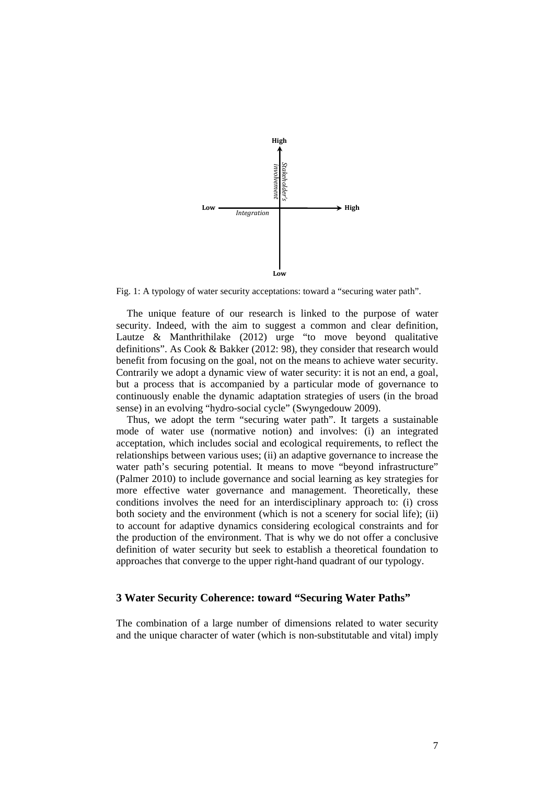

Fig. 1: A typology of water security acceptations: toward a "securing water path".

The unique feature of our research is linked to the purpose of water security. Indeed, with the aim to suggest a common and clear definition, Lautze & Manthrithilake (2012) urge "to move beyond qualitative definitions". As Cook & Bakker (2012: 98), they consider that research would benefit from focusing on the goal, not on the means to achieve water security. Contrarily we adopt a dynamic view of water security: it is not an end, a goal, but a process that is accompanied by a particular mode of governance to continuously enable the dynamic adaptation strategies of users (in the broad sense) in an evolving "hydro-social cycle" (Swyngedouw 2009).

Thus, we adopt the term "securing water path". It targets a sustainable mode of water use (normative notion) and involves: (i) an integrated acceptation, which includes social and ecological requirements, to reflect the relationships between various uses; (ii) an adaptive governance to increase the water path's securing potential. It means to move "beyond infrastructure" (Palmer 2010) to include governance and social learning as key strategies for more effective water governance and management. Theoretically, these conditions involves the need for an interdisciplinary approach to: (i) cross both society and the environment (which is not a scenery for social life); (ii) to account for adaptive dynamics considering ecological constraints and for the production of the environment. That is why we do not offer a conclusive definition of water security but seek to establish a theoretical foundation to approaches that converge to the upper right-hand quadrant of our typology.

## **3 Water Security Coherence: toward "Securing Water Paths"**

The combination of a large number of dimensions related to water security and the unique character of water (which is non-substitutable and vital) imply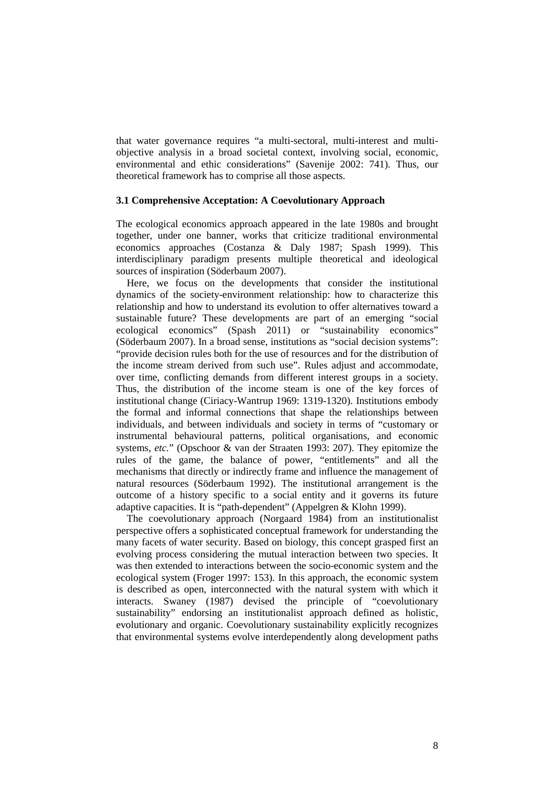that water governance requires "a multi-sectoral, multi-interest and multiobjective analysis in a broad societal context, involving social, economic, environmental and ethic considerations" (Savenije 2002: 741). Thus, our theoretical framework has to comprise all those aspects.

#### **3.1 Comprehensive Acceptation: A Coevolutionary Approach**

The ecological economics approach appeared in the late 1980s and brought together, under one banner, works that criticize traditional environmental economics approaches (Costanza & Daly 1987; Spash 1999). This interdisciplinary paradigm presents multiple theoretical and ideological sources of inspiration (Söderbaum 2007).

Here, we focus on the developments that consider the institutional dynamics of the society-environment relationship: how to characterize this relationship and how to understand its evolution to offer alternatives toward a sustainable future? These developments are part of an emerging "social ecological economics" (Spash 2011) or "sustainability economics" (Söderbaum 2007). In a broad sense, institutions as "social decision systems": "provide decision rules both for the use of resources and for the distribution of the income stream derived from such use". Rules adjust and accommodate, over time, conflicting demands from different interest groups in a society. Thus, the distribution of the income steam is one of the key forces of institutional change (Ciriacy-Wantrup 1969: 1319-1320). Institutions embody the formal and informal connections that shape the relationships between individuals, and between individuals and society in terms of "customary or instrumental behavioural patterns, political organisations, and economic systems, *etc.*" (Opschoor & van der Straaten 1993: 207). They epitomize the rules of the game, the balance of power, "entitlements" and all the mechanisms that directly or indirectly frame and influence the management of natural resources (Söderbaum 1992). The institutional arrangement is the outcome of a history specific to a social entity and it governs its future adaptive capacities. It is "path-dependent" (Appelgren & Klohn 1999).

The coevolutionary approach (Norgaard 1984) from an institutionalist perspective offers a sophisticated conceptual framework for understanding the many facets of water security. Based on biology, this concept grasped first an evolving process considering the mutual interaction between two species. It was then extended to interactions between the socio-economic system and the ecological system (Froger 1997: 153). In this approach, the economic system is described as open, interconnected with the natural system with which it interacts. Swaney (1987) devised the principle of "coevolutionary sustainability" endorsing an institutionalist approach defined as holistic, evolutionary and organic. Coevolutionary sustainability explicitly recognizes that environmental systems evolve interdependently along development paths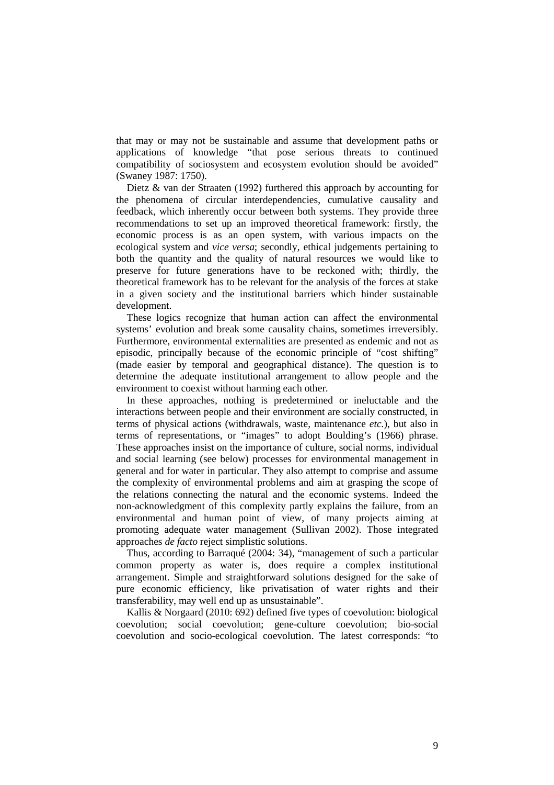that may or may not be sustainable and assume that development paths or applications of knowledge "that pose serious threats to continued compatibility of sociosystem and ecosystem evolution should be avoided" (Swaney 1987: 1750).

Dietz & van der Straaten (1992) furthered this approach by accounting for the phenomena of circular interdependencies, cumulative causality and feedback, which inherently occur between both systems. They provide three recommendations to set up an improved theoretical framework: firstly, the economic process is as an open system, with various impacts on the ecological system and *vice versa*; secondly, ethical judgements pertaining to both the quantity and the quality of natural resources we would like to preserve for future generations have to be reckoned with; thirdly, the theoretical framework has to be relevant for the analysis of the forces at stake in a given society and the institutional barriers which hinder sustainable development.

These logics recognize that human action can affect the environmental systems' evolution and break some causality chains, sometimes irreversibly. Furthermore, environmental externalities are presented as endemic and not as episodic, principally because of the economic principle of "cost shifting" (made easier by temporal and geographical distance). The question is to determine the adequate institutional arrangement to allow people and the environment to coexist without harming each other.

In these approaches, nothing is predetermined or ineluctable and the interactions between people and their environment are socially constructed, in terms of physical actions (withdrawals, waste, maintenance *etc.*), but also in terms of representations, or "images" to adopt Boulding's (1966) phrase. These approaches insist on the importance of culture, social norms, individual and social learning (see below) processes for environmental management in general and for water in particular. They also attempt to comprise and assume the complexity of environmental problems and aim at grasping the scope of the relations connecting the natural and the economic systems. Indeed the non-acknowledgment of this complexity partly explains the failure, from an environmental and human point of view, of many projects aiming at promoting adequate water management (Sullivan 2002). Those integrated approaches *de facto* reject simplistic solutions.

Thus, according to Barraqué (2004: 34), "management of such a particular common property as water is, does require a complex institutional arrangement. Simple and straightforward solutions designed for the sake of pure economic efficiency, like privatisation of water rights and their transferability, may well end up as unsustainable".

Kallis & Norgaard (2010: 692) defined five types of coevolution: biological coevolution; social coevolution; gene-culture coevolution; bio-social coevolution and socio-ecological coevolution. The latest corresponds: "to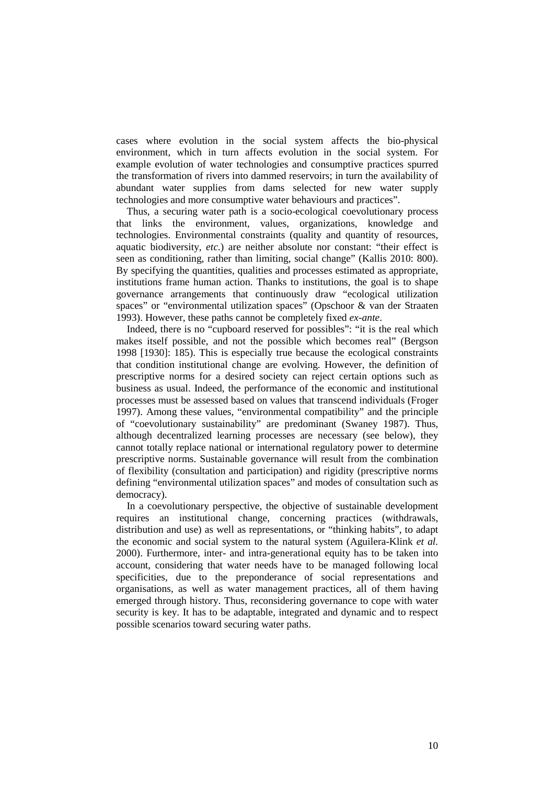cases where evolution in the social system affects the bio-physical environment, which in turn affects evolution in the social system. For example evolution of water technologies and consumptive practices spurred the transformation of rivers into dammed reservoirs; in turn the availability of abundant water supplies from dams selected for new water supply technologies and more consumptive water behaviours and practices".

Thus, a securing water path is a socio-ecological coevolutionary process that links the environment, values, organizations, knowledge and technologies. Environmental constraints (quality and quantity of resources, aquatic biodiversity, *etc.*) are neither absolute nor constant: "their effect is seen as conditioning, rather than limiting, social change" (Kallis 2010: 800). By specifying the quantities, qualities and processes estimated as appropriate, institutions frame human action. Thanks to institutions, the goal is to shape governance arrangements that continuously draw "ecological utilization spaces" or "environmental utilization spaces" (Opschoor & van der Straaten 1993). However, these paths cannot be completely fixed *ex-ante*.

Indeed, there is no "cupboard reserved for possibles": "it is the real which makes itself possible, and not the possible which becomes real" (Bergson 1998 [1930]: 185). This is especially true because the ecological constraints that condition institutional change are evolving. However, the definition of prescriptive norms for a desired society can reject certain options such as business as usual. Indeed, the performance of the economic and institutional processes must be assessed based on values that transcend individuals (Froger 1997). Among these values, "environmental compatibility" and the principle of "coevolutionary sustainability" are predominant (Swaney 1987). Thus, although decentralized learning processes are necessary (see below), they cannot totally replace national or international regulatory power to determine prescriptive norms. Sustainable governance will result from the combination of flexibility (consultation and participation) and rigidity (prescriptive norms defining "environmental utilization spaces" and modes of consultation such as democracy).

In a coevolutionary perspective, the objective of sustainable development requires an institutional change, concerning practices (withdrawals, distribution and use) as well as representations, or "thinking habits", to adapt the economic and social system to the natural system (Aguilera-Klink *et al.* 2000). Furthermore, inter- and intra-generational equity has to be taken into account, considering that water needs have to be managed following local specificities, due to the preponderance of social representations and organisations, as well as water management practices, all of them having emerged through history. Thus, reconsidering governance to cope with water security is key. It has to be adaptable, integrated and dynamic and to respect possible scenarios toward securing water paths.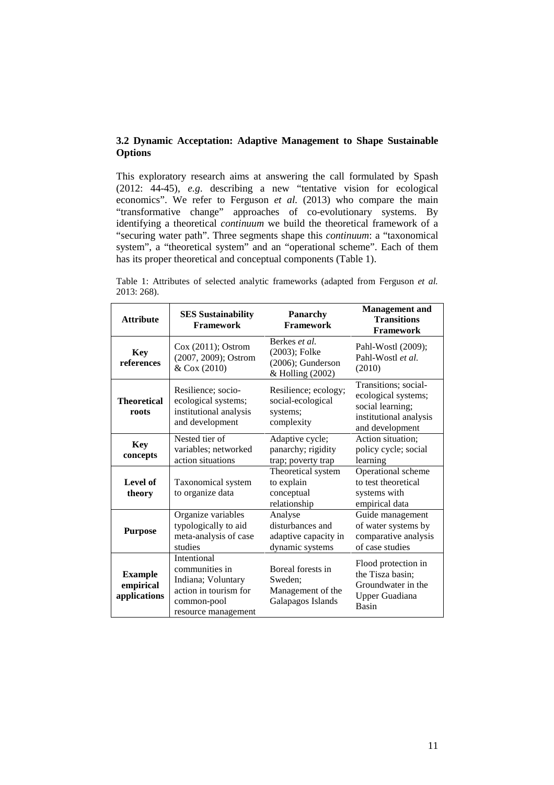## **3.2 Dynamic Acceptation: Adaptive Management to Shape Sustainable Options**

This exploratory research aims at answering the call formulated by Spash (2012: 44-45), *e.g*. describing a new "tentative vision for ecological economics". We refer to Ferguson *et al.* (2013) who compare the main "transformative change" approaches of co-evolutionary systems. By identifying a theoretical *continuum* we build the theoretical framework of a "securing water path". Three segments shape this *continuum*: a "taxonomical system", a "theoretical system" and an "operational scheme". Each of them has its proper theoretical and conceptual components (Table 1).

Table 1: Attributes of selected analytic frameworks (adapted from Ferguson *et al.* 2013: 268).

| <b>Attribute</b>                            | <b>SES Sustainability</b><br><b>Framework</b>                                                                      | Panarchy<br><b>Framework</b>                                            | <b>Management</b> and<br><b>Transitions</b><br><b>Framework</b>                                              |
|---------------------------------------------|--------------------------------------------------------------------------------------------------------------------|-------------------------------------------------------------------------|--------------------------------------------------------------------------------------------------------------|
| <b>Key</b><br>references                    | $Cox(2011)$ ; Ostrom<br>(2007, 2009); Ostrom<br>& Cox (2010)                                                       | Berkes et al.<br>(2003); Folke<br>(2006); Gunderson<br>& Holling (2002) | Pahl-Wostl (2009);<br>Pahl-Wostl et al.<br>(2010)                                                            |
| <b>Theoretical</b><br>roots                 | Resilience; socio-<br>ecological systems;<br>institutional analysis<br>and development                             | Resilience; ecology;<br>social-ecological<br>systems;<br>complexity     | Transitions; social-<br>ecological systems;<br>social learning;<br>institutional analysis<br>and development |
| <b>Key</b><br>concepts                      | Nested tier of<br>variables; networked<br>action situations                                                        | Adaptive cycle;<br>panarchy; rigidity<br>trap; poverty trap             | Action situation;<br>policy cycle; social<br>learning                                                        |
| Level of<br>theory                          | Taxonomical system<br>to organize data                                                                             | Theoretical system<br>to explain<br>conceptual<br>relationship          | Operational scheme<br>to test theoretical<br>systems with<br>empirical data                                  |
| <b>Purpose</b>                              | Organize variables<br>typologically to aid<br>meta-analysis of case<br>studies                                     | Analyse<br>disturbances and<br>adaptive capacity in<br>dynamic systems  | Guide management<br>of water systems by<br>comparative analysis<br>of case studies                           |
| <b>Example</b><br>empirical<br>applications | Intentional<br>communities in<br>Indiana; Voluntary<br>action in tourism for<br>common-pool<br>resource management | Boreal forests in<br>Sweden:<br>Management of the<br>Galapagos Islands  | Flood protection in<br>the Tisza basin;<br>Groundwater in the<br>Upper Guadiana<br>Basin                     |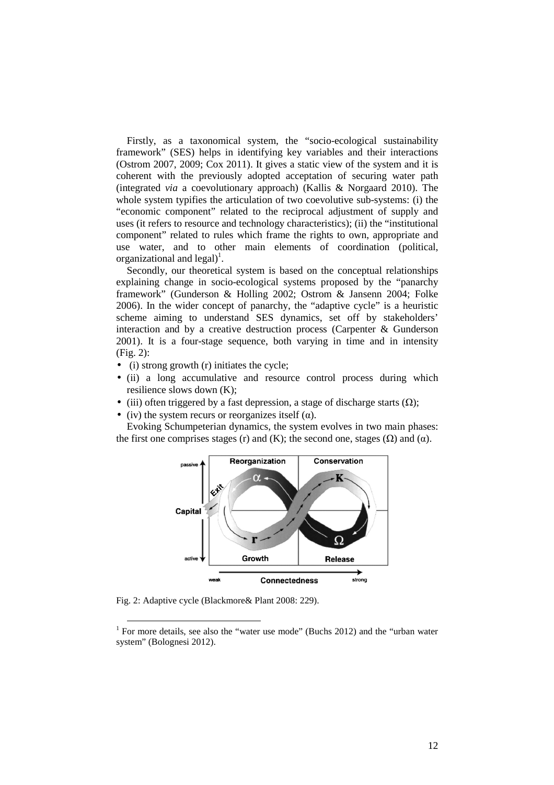Firstly, as a taxonomical system, the "socio-ecological sustainability framework" (SES) helps in identifying key variables and their interactions (Ostrom 2007, 2009; Cox 2011). It gives a static view of the system and it is coherent with the previously adopted acceptation of securing water path (integrated *via* a coevolutionary approach) (Kallis & Norgaard 2010). The whole system typifies the articulation of two coevolutive sub-systems: (i) the "economic component" related to the reciprocal adjustment of supply and uses (it refers to resource and technology characteristics); (ii) the "institutional component" related to rules which frame the rights to own, appropriate and use water, and to other main elements of coordination (political, organizational and  $\text{legal}$ <sup>1</sup>.

Secondly, our theoretical system is based on the conceptual relationships explaining change in socio-ecological systems proposed by the "panarchy framework" (Gunderson & Holling 2002; Ostrom & Jansenn 2004; Folke 2006). In the wider concept of panarchy, the "adaptive cycle" is a heuristic scheme aiming to understand SES dynamics, set off by stakeholders' interaction and by a creative destruction process (Carpenter & Gunderson 2001). It is a four-stage sequence, both varying in time and in intensity (Fig. 2):

- (i) strong growth (r) initiates the cycle;
- (ii) a long accumulative and resource control process during which resilience slows down (K);
- (iii) often triggered by a fast depression, a stage of discharge starts  $(\Omega)$ ;
- (iv) the system recurs or reorganizes itself ( $\alpha$ ).

Evoking Schumpeterian dynamics, the system evolves in two main phases: the first one comprises stages (r) and (K); the second one, stages  $(\Omega)$  and  $(\alpha)$ .



Fig. 2: Adaptive cycle (Blackmore& Plant 2008: 229).

<sup>&</sup>lt;sup>1</sup> For more details, see also the "water use mode" (Buchs 2012) and the "urban water system" (Bolognesi 2012).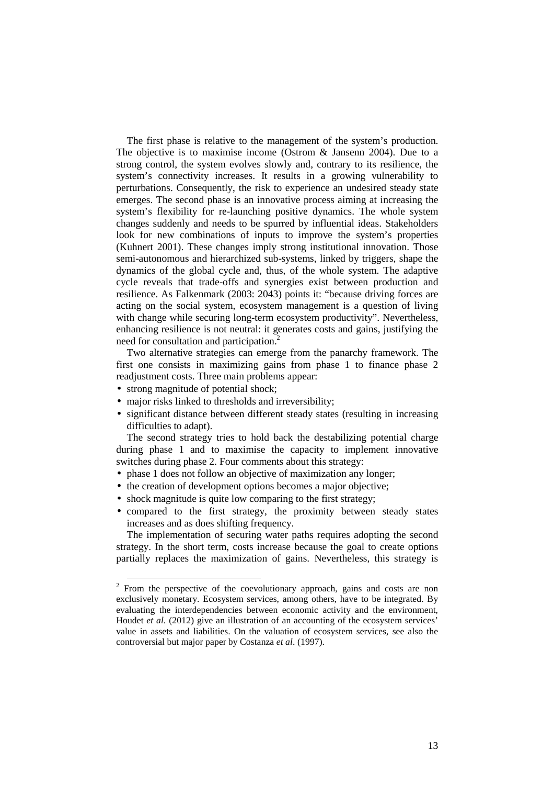The first phase is relative to the management of the system's production. The objective is to maximise income (Ostrom & Jansenn 2004). Due to a strong control, the system evolves slowly and, contrary to its resilience, the system's connectivity increases. It results in a growing vulnerability to perturbations. Consequently, the risk to experience an undesired steady state emerges. The second phase is an innovative process aiming at increasing the system's flexibility for re-launching positive dynamics. The whole system changes suddenly and needs to be spurred by influential ideas. Stakeholders look for new combinations of inputs to improve the system's properties (Kuhnert 2001). These changes imply strong institutional innovation. Those semi-autonomous and hierarchized sub-systems, linked by triggers, shape the dynamics of the global cycle and, thus, of the whole system. The adaptive cycle reveals that trade-offs and synergies exist between production and resilience. As Falkenmark (2003: 2043) points it: "because driving forces are acting on the social system, ecosystem management is a question of living with change while securing long-term ecosystem productivity". Nevertheless, enhancing resilience is not neutral: it generates costs and gains, justifying the need for consultation and participation.<sup>2</sup>

Two alternative strategies can emerge from the panarchy framework. The first one consists in maximizing gains from phase 1 to finance phase 2 readjustment costs. Three main problems appear:

- strong magnitude of potential shock;
- major risks linked to thresholds and irreversibility;
- significant distance between different steady states (resulting in increasing difficulties to adapt).

The second strategy tries to hold back the destabilizing potential charge during phase 1 and to maximise the capacity to implement innovative switches during phase 2. Four comments about this strategy:

- phase 1 does not follow an objective of maximization any longer;
- the creation of development options becomes a major objective;
- shock magnitude is quite low comparing to the first strategy;
- compared to the first strategy, the proximity between steady states increases and as does shifting frequency.

The implementation of securing water paths requires adopting the second strategy. In the short term, costs increase because the goal to create options partially replaces the maximization of gains. Nevertheless, this strategy is

<sup>&</sup>lt;sup>2</sup> From the perspective of the coevolutionary approach, gains and costs are non exclusively monetary. Ecosystem services, among others, have to be integrated. By evaluating the interdependencies between economic activity and the environment, Houdet *et al*. (2012) give an illustration of an accounting of the ecosystem services' value in assets and liabilities. On the valuation of ecosystem services, see also the controversial but major paper by Costanza *et al*. (1997).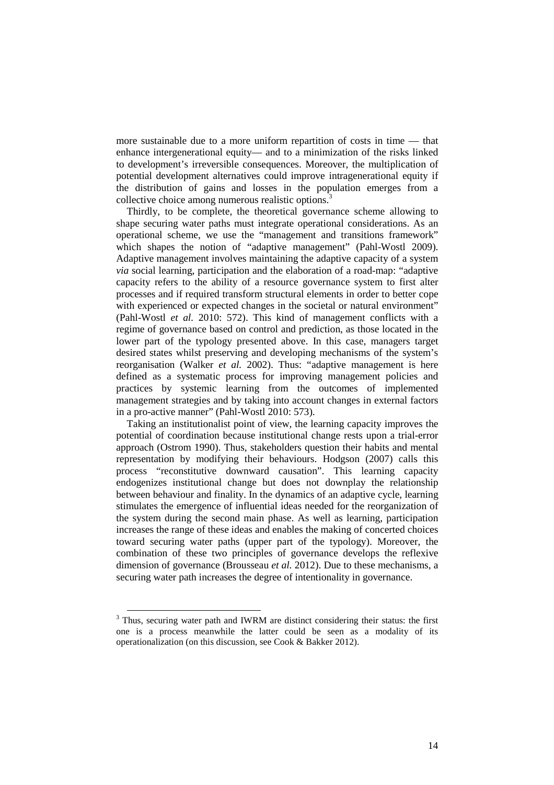more sustainable due to a more uniform repartition of costs in time — that enhance intergenerational equity— and to a minimization of the risks linked to development's irreversible consequences. Moreover, the multiplication of potential development alternatives could improve intragenerational equity if the distribution of gains and losses in the population emerges from a collective choice among numerous realistic options.<sup>3</sup>

Thirdly, to be complete, the theoretical governance scheme allowing to shape securing water paths must integrate operational considerations. As an operational scheme, we use the "management and transitions framework" which shapes the notion of "adaptive management" (Pahl-Wostl 2009). Adaptive management involves maintaining the adaptive capacity of a system *via* social learning, participation and the elaboration of a road-map: "adaptive capacity refers to the ability of a resource governance system to first alter processes and if required transform structural elements in order to better cope with experienced or expected changes in the societal or natural environment" (Pahl-Wostl *et al.* 2010: 572). This kind of management conflicts with a regime of governance based on control and prediction, as those located in the lower part of the typology presented above. In this case, managers target desired states whilst preserving and developing mechanisms of the system's reorganisation (Walker *et al.* 2002). Thus: "adaptive management is here defined as a systematic process for improving management policies and practices by systemic learning from the outcomes of implemented management strategies and by taking into account changes in external factors in a pro-active manner" (Pahl-Wostl 2010: 573).

Taking an institutionalist point of view, the learning capacity improves the potential of coordination because institutional change rests upon a trial-error approach (Ostrom 1990). Thus, stakeholders question their habits and mental representation by modifying their behaviours. Hodgson (2007) calls this process "reconstitutive downward causation". This learning capacity endogenizes institutional change but does not downplay the relationship between behaviour and finality. In the dynamics of an adaptive cycle, learning stimulates the emergence of influential ideas needed for the reorganization of the system during the second main phase. As well as learning, participation increases the range of these ideas and enables the making of concerted choices toward securing water paths (upper part of the typology). Moreover, the combination of these two principles of governance develops the reflexive dimension of governance (Brousseau *et al.* 2012). Due to these mechanisms, a securing water path increases the degree of intentionality in governance.

<sup>&</sup>lt;sup>3</sup> Thus, securing water path and IWRM are distinct considering their status: the first one is a process meanwhile the latter could be seen as a modality of its operationalization (on this discussion, see Cook & Bakker 2012).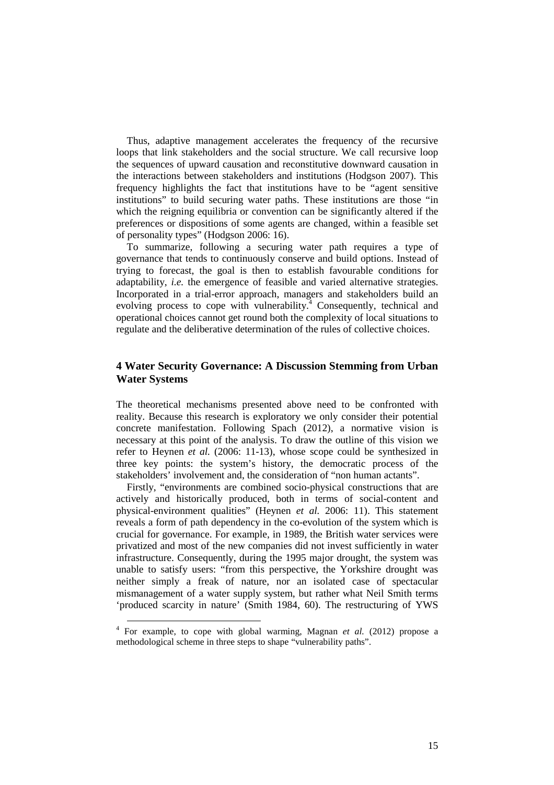Thus, adaptive management accelerates the frequency of the recursive loops that link stakeholders and the social structure. We call recursive loop the sequences of upward causation and reconstitutive downward causation in the interactions between stakeholders and institutions (Hodgson 2007). This frequency highlights the fact that institutions have to be "agent sensitive institutions" to build securing water paths. These institutions are those "in which the reigning equilibria or convention can be significantly altered if the preferences or dispositions of some agents are changed, within a feasible set of personality types" (Hodgson 2006: 16).

To summarize, following a securing water path requires a type of governance that tends to continuously conserve and build options. Instead of trying to forecast, the goal is then to establish favourable conditions for adaptability, *i.e.* the emergence of feasible and varied alternative strategies. Incorporated in a trial-error approach, managers and stakeholders build an evolving process to cope with vulnerability.<sup>4</sup> Consequently, technical and operational choices cannot get round both the complexity of local situations to regulate and the deliberative determination of the rules of collective choices.

## **4 Water Security Governance: A Discussion Stemming from Urban Water Systems**

The theoretical mechanisms presented above need to be confronted with reality. Because this research is exploratory we only consider their potential concrete manifestation. Following Spach (2012), a normative vision is necessary at this point of the analysis. To draw the outline of this vision we refer to Heynen *et al.* (2006: 11-13), whose scope could be synthesized in three key points: the system's history, the democratic process of the stakeholders' involvement and, the consideration of "non human actants".

Firstly, "environments are combined socio-physical constructions that are actively and historically produced, both in terms of social-content and physical-environment qualities" (Heynen *et al.* 2006: 11). This statement reveals a form of path dependency in the co-evolution of the system which is crucial for governance. For example, in 1989, the British water services were privatized and most of the new companies did not invest sufficiently in water infrastructure. Consequently, during the 1995 major drought, the system was unable to satisfy users: "from this perspective, the Yorkshire drought was neither simply a freak of nature, nor an isolated case of spectacular mismanagement of a water supply system, but rather what Neil Smith terms 'produced scarcity in nature' (Smith 1984, 60). The restructuring of YWS

 $\overline{a}$ 

<sup>4</sup> For example, to cope with global warming, Magnan *et al.* (2012) propose a methodological scheme in three steps to shape "vulnerability paths".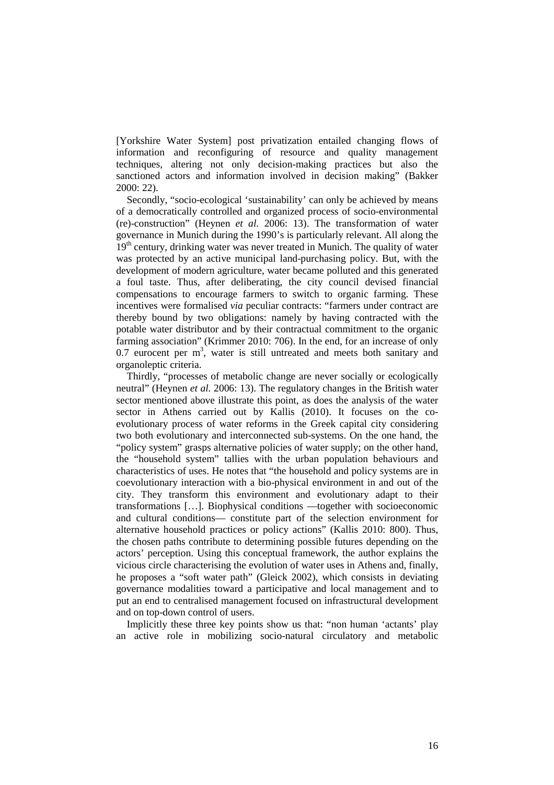[Yorkshire Water System] post privatization entailed changing flows of information and reconfiguring of resource and quality management techniques, altering not only decision-making practices but also the sanctioned actors and information involved in decision making" (Bakker 2000: 22).

Secondly, "socio-ecological 'sustainability' can only be achieved by means of a democratically controlled and organized process of socio-environmental (re)-construction" (Heynen *et al.* 2006: 13). The transformation of water governance in Munich during the 1990's is particularly relevant. All along the 19<sup>th</sup> century, drinking water was never treated in Munich. The quality of water was protected by an active municipal land-purchasing policy. But, with the development of modern agriculture, water became polluted and this generated a foul taste. Thus, after deliberating, the city council devised financial compensations to encourage farmers to switch to organic farming. These incentives were formalised *via* peculiar contracts: "farmers under contract are thereby bound by two obligations: namely by having contracted with the potable water distributor and by their contractual commitment to the organic farming association" (Krimmer 2010: 706). In the end, for an increase of only  $0.7$  eurocent per  $m<sup>3</sup>$ , water is still untreated and meets both sanitary and organoleptic criteria.

Thirdly, "processes of metabolic change are never socially or ecologically neutral" (Heynen *et al.* 2006: 13). The regulatory changes in the British water sector mentioned above illustrate this point, as does the analysis of the water sector in Athens carried out by Kallis (2010). It focuses on the coevolutionary process of water reforms in the Greek capital city considering two both evolutionary and interconnected sub-systems. On the one hand, the "policy system" grasps alternative policies of water supply; on the other hand, the "household system" tallies with the urban population behaviours and characteristics of uses. He notes that "the household and policy systems are in coevolutionary interaction with a bio-physical environment in and out of the city. They transform this environment and evolutionary adapt to their transformations […]. Biophysical conditions —together with socioeconomic and cultural conditions— constitute part of the selection environment for alternative household practices or policy actions" (Kallis 2010: 800). Thus, the chosen paths contribute to determining possible futures depending on the actors' perception. Using this conceptual framework, the author explains the vicious circle characterising the evolution of water uses in Athens and, finally, he proposes a "soft water path" (Gleick 2002), which consists in deviating governance modalities toward a participative and local management and to put an end to centralised management focused on infrastructural development and on top-down control of users.

Implicitly these three key points show us that: "non human 'actants' play an active role in mobilizing socio-natural circulatory and metabolic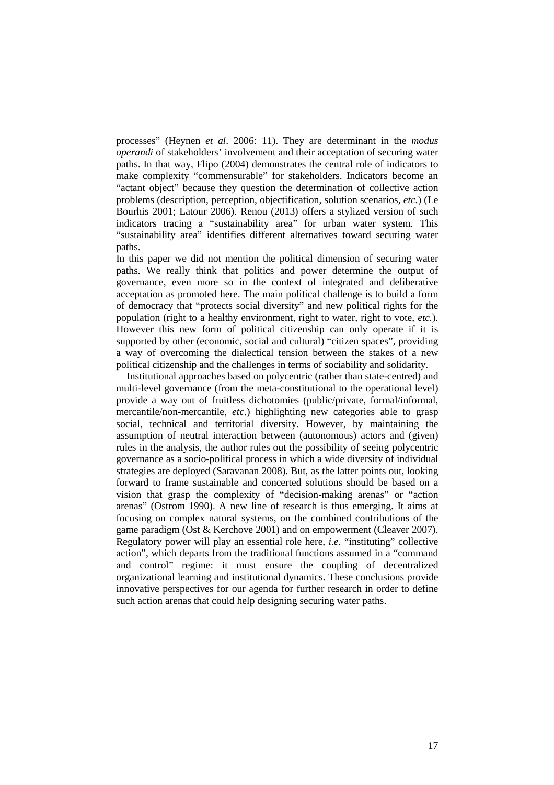processes" (Heynen *et al*. 2006: 11). They are determinant in the *modus operandi* of stakeholders' involvement and their acceptation of securing water paths. In that way, Flipo (2004) demonstrates the central role of indicators to make complexity "commensurable" for stakeholders. Indicators become an "actant object" because they question the determination of collective action problems (description, perception, objectification, solution scenarios, *etc.*) (Le Bourhis 2001; Latour 2006). Renou (2013) offers a stylized version of such indicators tracing a "sustainability area" for urban water system. This "sustainability area" identifies different alternatives toward securing water paths.

In this paper we did not mention the political dimension of securing water paths. We really think that politics and power determine the output of governance, even more so in the context of integrated and deliberative acceptation as promoted here. The main political challenge is to build a form of democracy that "protects social diversity" and new political rights for the population (right to a healthy environment, right to water, right to vote, *etc.*). However this new form of political citizenship can only operate if it is supported by other (economic, social and cultural) "citizen spaces", providing a way of overcoming the dialectical tension between the stakes of a new political citizenship and the challenges in terms of sociability and solidarity.

Institutional approaches based on polycentric (rather than state-centred) and multi-level governance (from the meta-constitutional to the operational level) provide a way out of fruitless dichotomies (public/private, formal/informal, mercantile/non-mercantile, *etc.*) highlighting new categories able to grasp social, technical and territorial diversity. However, by maintaining the assumption of neutral interaction between (autonomous) actors and (given) rules in the analysis, the author rules out the possibility of seeing polycentric governance as a socio-political process in which a wide diversity of individual strategies are deployed (Saravanan 2008). But, as the latter points out, looking forward to frame sustainable and concerted solutions should be based on a vision that grasp the complexity of "decision-making arenas" or "action arenas" (Ostrom 1990). A new line of research is thus emerging. It aims at focusing on complex natural systems, on the combined contributions of the game paradigm (Ost & Kerchove 2001) and on empowerment (Cleaver 2007). Regulatory power will play an essential role here, *i.e*. "instituting" collective action", which departs from the traditional functions assumed in a "command and control" regime: it must ensure the coupling of decentralized organizational learning and institutional dynamics. These conclusions provide innovative perspectives for our agenda for further research in order to define such action arenas that could help designing securing water paths.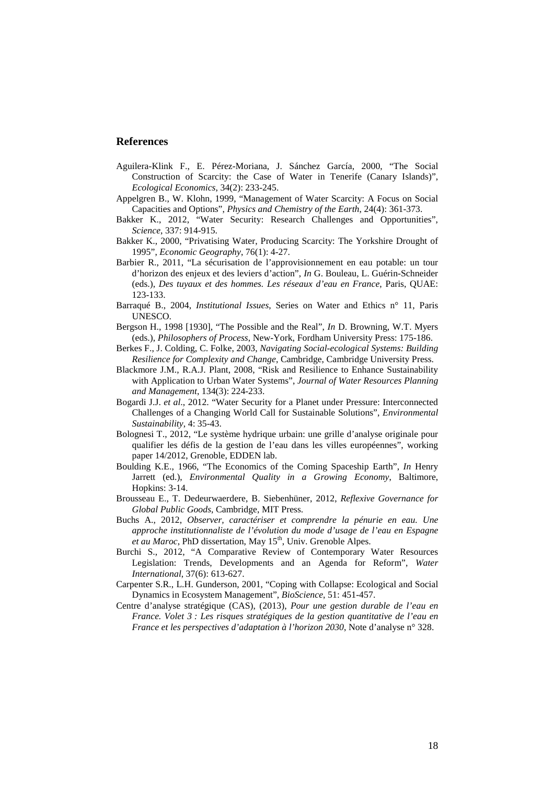#### **References**

- Aguilera-Klink F., E. Pérez-Moriana, J. Sánchez García, 2000, "The Social Construction of Scarcity: the Case of Water in Tenerife (Canary Islands)", *Ecological Economics*, 34(2): 233-245.
- Appelgren B., W. Klohn, 1999, "Management of Water Scarcity: A Focus on Social Capacities and Options", *Physics and Chemistry of the Earth*, 24(4): 361-373.
- Bakker K., 2012, "Water Security: Research Challenges and Opportunities", *Science*, 337: 914-915.
- Bakker K., 2000, "Privatising Water, Producing Scarcity: The Yorkshire Drought of 1995", *Economic Geography*, 76(1): 4-27.
- Barbier R., 2011, "La sécurisation de l'approvisionnement en eau potable: un tour d'horizon des enjeux et des leviers d'action", *In* G. Bouleau, L. Guérin-Schneider (eds.), *Des tuyaux et des hommes. Les réseaux d'eau en France*, Paris, QUAE: 123-133.
- Barraqué B., 2004, *Institutional Issues*, Series on Water and Ethics n° 11, Paris UNESCO.
- Bergson H., 1998 [1930], "The Possible and the Real", *In* D. Browning, W.T. Myers (eds.), *Philosophers of Process*, New-York, Fordham University Press: 175-186.
- Berkes F., J. Colding, C. Folke, 2003, *Navigating Social-ecological Systems: Building Resilience for Complexity and Change*, Cambridge, Cambridge University Press.
- Blackmore J.M., R.A.J. Plant, 2008, "Risk and Resilience to Enhance Sustainability with Application to Urban Water Systems", *Journal of Water Resources Planning and Management*, 134(3): 224-233.
- Bogardi J.J. *et al*., 2012. "Water Security for a Planet under Pressure: Interconnected Challenges of a Changing World Call for Sustainable Solutions", *Environmental Sustainability*, 4: 35-43.
- Bolognesi T., 2012, "Le système hydrique urbain: une grille d'analyse originale pour qualifier les défis de la gestion de l'eau dans les villes européennes", working paper 14/2012, Grenoble, EDDEN lab.
- Boulding K.E., 1966, "The Economics of the Coming Spaceship Earth", *In* Henry Jarrett (ed.), *Environmental Quality in a Growing Economy*, Baltimore, Hopkins: 3-14.
- Brousseau E., T. Dedeurwaerdere, B. Siebenhüner, 2012, *Reflexive Governance for Global Public Goods*, Cambridge, MIT Press.
- Buchs A., 2012, *Observer, caractériser et comprendre la pénurie en eau. Une approche institutionnaliste de l'évolution du mode d'usage de l'eau en Espagne et au Maroc*, PhD dissertation, May  $15<sup>th</sup>$ , Univ. Grenoble Alpes.
- Burchi S., 2012, "A Comparative Review of Contemporary Water Resources Legislation: Trends, Developments and an Agenda for Reform", *Water International*, 37(6): 613-627.
- Carpenter S.R., L.H. Gunderson, 2001, "Coping with Collapse: Ecological and Social Dynamics in Ecosystem Management", *BioScience*, 51: 451-457.
- Centre d'analyse stratégique (CAS), (2013), *Pour une gestion durable de l'eau en France. Volet 3 : Les risques stratégiques de la gestion quantitative de l'eau en France et les perspectives d'adaptation à l'horizon 2030*, Note d'analyse n° 328.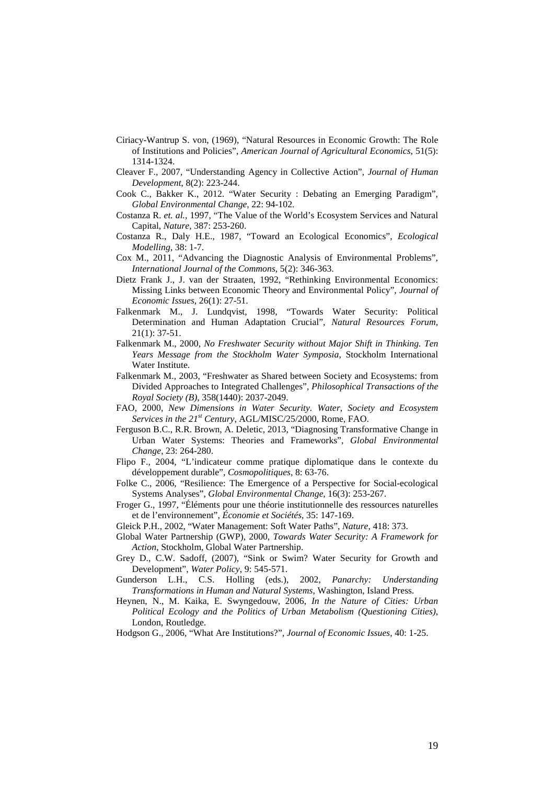- Ciriacy-Wantrup S. von, (1969), "Natural Resources in Economic Growth: The Role of Institutions and Policies", *American Journal of Agricultural Economics*, 51(5): 1314-1324.
- Cleaver F., 2007, "Understanding Agency in Collective Action", *Journal of Human Development*, 8(2): 223-244.
- Cook C., Bakker K., 2012. "Water Security : Debating an Emerging Paradigm", *Global Environmental Change*, 22: 94-102.
- Costanza R. *et. al.*, 1997, "The Value of the World's Ecosystem Services and Natural Capital, *Nature*, 387: 253-260.
- Costanza R., Daly H.E., 1987, "Toward an Ecological Economics", *Ecological Modelling*, 38: 1-7.
- Cox M., 2011, "Advancing the Diagnostic Analysis of Environmental Problems", *International Journal of the Commons*, 5(2): 346-363.
- Dietz Frank J., J. van der Straaten, 1992, "Rethinking Environmental Economics: Missing Links between Economic Theory and Environmental Policy", *Journal of Economic Issues*, 26(1): 27-51.
- Falkenmark M., J. Lundqvist, 1998, "Towards Water Security: Political Determination and Human Adaptation Crucial", *Natural Resources Forum*, 21(1): 37-51.
- Falkenmark M., 2000, *No Freshwater Security without Major Shift in Thinking. Ten Years Message from the Stockholm Water Symposia*, Stockholm International Water Institute.
- Falkenmark M., 2003, "Freshwater as Shared between Society and Ecosystems: from Divided Approaches to Integrated Challenges", *Philosophical Transactions of the Royal Society (B)*, 358(1440): 2037-2049.
- FAO, 2000, *New Dimensions in Water Security. Water, Society and Ecosystem Services in the 21st Century*, AGL/MISC/25/2000, Rome, FAO.
- Ferguson B.C., R.R. Brown, A. Deletic, 2013, "Diagnosing Transformative Change in Urban Water Systems: Theories and Frameworks", *Global Environmental Change*, 23: 264-280.
- Flipo F., 2004, "L'indicateur comme pratique diplomatique dans le contexte du développement durable", *Cosmopolitiques*, 8: 63-76.
- Folke C., 2006, "Resilience: The Emergence of a Perspective for Social-ecological Systems Analyses", *Global Environmental Change*, 16(3): 253-267.
- Froger G., 1997, "Éléments pour une théorie institutionnelle des ressources naturelles et de l'environnement", *Économie et Sociétés*, 35: 147-169.
- Gleick P.H., 2002, "Water Management: Soft Water Paths", *Nature*, 418: 373.
- Global Water Partnership (GWP), 2000, *Towards Water Security: A Framework for Action*, Stockholm, Global Water Partnership.
- Grey D., C.W. Sadoff, (2007), "Sink or Swim? Water Security for Growth and Development", *Water Policy*, 9: 545-571.
- Gunderson L.H., C.S. Holling (eds.), 2002, *Panarchy: Understanding Transformations in Human and Natural Systems*, Washington, Island Press.
- Heynen, N., M. Kaika, E. Swyngedouw, 2006, *In the Nature of Cities: Urban Political Ecology and the Politics of Urban Metabolism (Questioning Cities)*, London, Routledge.
- Hodgson G., 2006, "What Are Institutions?", *Journal of Economic Issues*, 40: 1-25.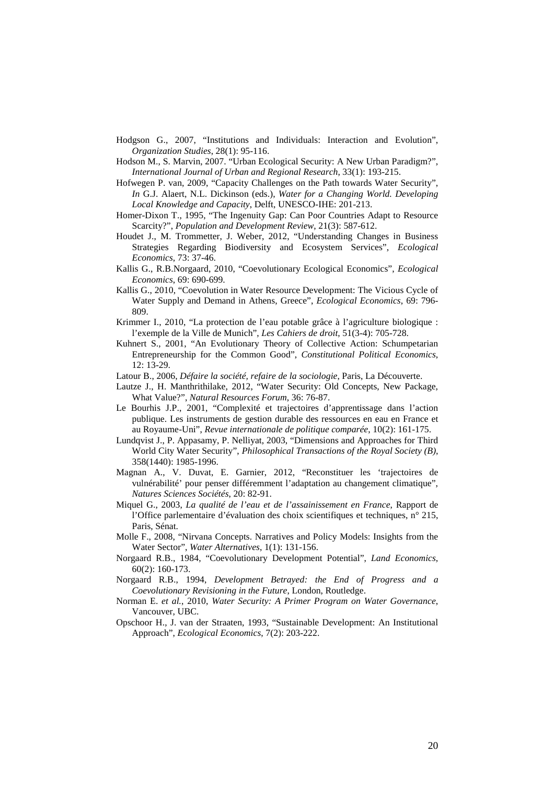- Hodgson G., 2007, "Institutions and Individuals: Interaction and Evolution", *Organization Studies*, 28(1): 95-116.
- Hodson M., S. Marvin, 2007. "Urban Ecological Security: A New Urban Paradigm?", *International Journal of Urban and Regional Research*, 33(1): 193-215.
- Hofwegen P. van, 2009, "Capacity Challenges on the Path towards Water Security", *In* G.J. Alaert, N.L. Dickinson (eds.), *Water for a Changing World. Developing Local Knowledge and Capacity*, Delft, UNESCO-IHE: 201-213.
- Homer-Dixon T., 1995, "The Ingenuity Gap: Can Poor Countries Adapt to Resource Scarcity?", *Population and Development Review*, 21(3): 587-612.
- Houdet J., M. Trommetter, J. Weber, 2012, "Understanding Changes in Business Strategies Regarding Biodiversity and Ecosystem Services", *Ecological Economics*, 73: 37-46.
- Kallis G., R.B.Norgaard, 2010, "Coevolutionary Ecological Economics", *Ecological Economics*, 69: 690-699.
- Kallis G., 2010, "Coevolution in Water Resource Development: The Vicious Cycle of Water Supply and Demand in Athens, Greece", *Ecological Economics*, 69: 796- 809.
- Krimmer I., 2010, "La protection de l'eau potable grâce à l'agriculture biologique : l'exemple de la Ville de Munich", *Les Cahiers de droit*, 51(3-4): 705-728.
- Kuhnert S., 2001, "An Evolutionary Theory of Collective Action: Schumpetarian Entrepreneurship for the Common Good", *Constitutional Political Economics*, 12: 13-29.
- Latour B., 2006, *Défaire la société, refaire de la sociologie*, Paris, La Découverte.
- Lautze J., H. Manthrithilake, 2012, "Water Security: Old Concepts, New Package, What Value?", *Natural Resources Forum*, 36: 76-87.
- Le Bourhis J.P., 2001, "Complexité et trajectoires d'apprentissage dans l'action publique. Les instruments de gestion durable des ressources en eau en France et au Royaume-Uni", *Revue internationale de politique comparée*, 10(2): 161-175.
- Lundqvist J., P. Appasamy, P. Nelliyat, 2003, "Dimensions and Approaches for Third World City Water Security", *Philosophical Transactions of the Royal Society (B)*, 358(1440): 1985-1996.
- Magnan A., V. Duvat, E. Garnier, 2012, "Reconstituer les 'trajectoires de vulnérabilité' pour penser différemment l'adaptation au changement climatique", *Natures Sciences Sociétés*, 20: 82-91.
- Miquel G., 2003, *La qualité de l'eau et de l'assainissement en France*, Rapport de l'Office parlementaire d'évaluation des choix scientifiques et techniques, n° 215, Paris, Sénat.
- Molle F., 2008, "Nirvana Concepts. Narratives and Policy Models: Insights from the Water Sector", *Water Alternatives*, 1(1): 131-156.
- Norgaard R.B., 1984, "Coevolutionary Development Potential", *Land Economics*, 60(2): 160-173.
- Norgaard R.B., 1994, *Development Betrayed: the End of Progress and a Coevolutionary Revisioning in the Future*, London, Routledge.
- Norman E. *et al.*, 2010, *Water Security: A Primer Program on Water Governance*, Vancouver, UBC.
- Opschoor H., J. van der Straaten, 1993, "Sustainable Development: An Institutional Approach", *Ecological Economics*, 7(2): 203-222.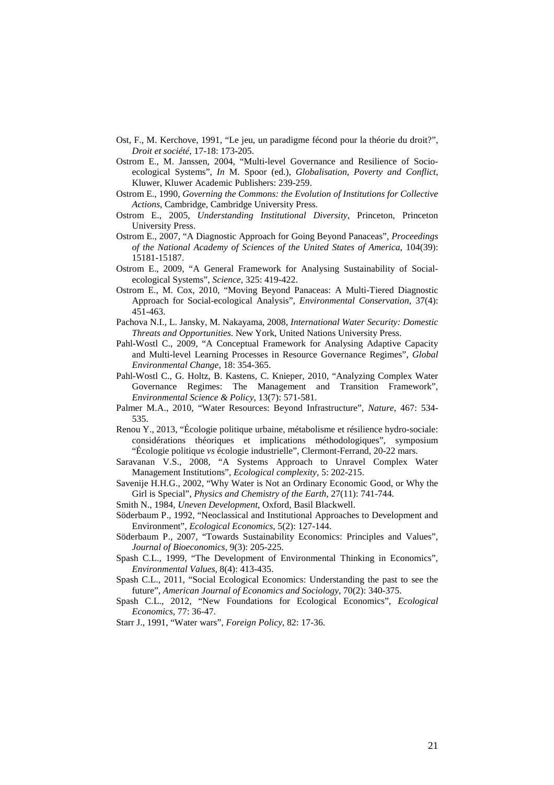- Ost, F., M. Kerchove, 1991, "Le jeu, un paradigme fécond pour la théorie du droit?", *Droit et société*, 17-18: 173-205.
- Ostrom E., M. Janssen, 2004, "Multi-level Governance and Resilience of Socioecological Systems", *In* M. Spoor (ed.), *Globalisation, Poverty and Conflict*, Kluwer, Kluwer Academic Publishers: 239-259.
- Ostrom E., 1990, *Governing the Commons: the Evolution of Institutions for Collective Actions*, Cambridge, Cambridge University Press.
- Ostrom E., 2005, *Understanding Institutional Diversity*, Princeton, Princeton University Press.
- Ostrom E., 2007, "A Diagnostic Approach for Going Beyond Panaceas", *Proceedings of the National Academy of Sciences of the United States of America*, 104(39): 15181-15187.
- Ostrom E., 2009, "A General Framework for Analysing Sustainability of Socialecological Systems", *Science*, 325: 419-422.
- Ostrom E., M. Cox, 2010, "Moving Beyond Panaceas: A Multi-Tiered Diagnostic Approach for Social-ecological Analysis", *Environmental Conservation*, 37(4): 451-463.
- Pachova N.I., L. Jansky, M. Nakayama, 2008, *International Water Security: Domestic Threats and Opportunities*. New York, United Nations University Press.
- Pahl-Wostl C., 2009, "A Conceptual Framework for Analysing Adaptive Capacity and Multi-level Learning Processes in Resource Governance Regimes", *Global Environmental Change*, 18: 354-365.
- Pahl-Wostl C., G. Holtz, B. Kastens, C. Knieper, 2010, "Analyzing Complex Water Governance Regimes: The Management and Transition Framework", *Environmental Science & Policy*, 13(7): 571-581.
- Palmer M.A., 2010, "Water Resources: Beyond Infrastructure", *Nature*, 467: 534- 535.
- Renou Y., 2013, "Écologie politique urbaine, métabolisme et résilience hydro-sociale: considérations théoriques et implications méthodologiques", symposium "Écologie politique *vs* écologie industrielle", Clermont-Ferrand, 20-22 mars.
- Saravanan V.S., 2008, "A Systems Approach to Unravel Complex Water Management Institutions", *Ecological complexity*, 5: 202-215.
- Savenije H.H.G., 2002, "Why Water is Not an Ordinary Economic Good, or Why the Girl is Special", *Physics and Chemistry of the Earth*, 27(11): 741-744.
- Smith N., 1984, *Uneven Development*, Oxford, Basil Blackwell.
- Söderbaum P., 1992, "Neoclassical and Institutional Approaches to Development and Environment", *Ecological Economics*, 5(2): 127-144.
- Söderbaum P., 2007, "Towards Sustainability Economics: Principles and Values", *Journal of Bioeconomics*, 9(3): 205-225.
- Spash C.L., 1999, "The Development of Environmental Thinking in Economics", *Environmental Values*, 8(4): 413-435.
- Spash C.L., 2011, "Social Ecological Economics: Understanding the past to see the future", *American Journal of Economics and Sociology*, 70(2): 340-375.
- Spash C.L., 2012, "New Foundations for Ecological Economics", *Ecological Economics*, 77: 36-47.
- Starr J., 1991, "Water wars", *Foreign Policy*, 82: 17-36.